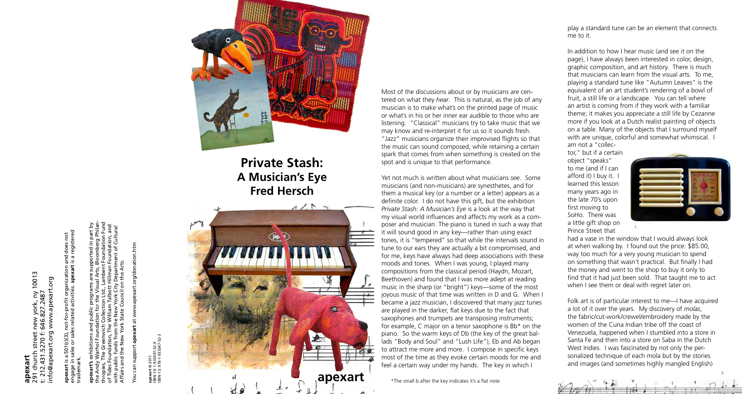Most of the discussions about or by musicians are centered on what they *hear*. This is natural, as the job of any musician is to make what's on the printed page of music or what's in his or her inner ear audible to those who are listening. "Classical" musicians try to take music that we may know and re-interpret it for us so it sounds fresh. "Jazz" musicians organize their improvised flights so that the music can sound composed, while retaining a certain spark that comes from when something is created on the spot and is unique to that performance.

Yet not much is written about what musicians *see*. Some musicians (and non-musicians) are synesthetes, and for them a musical key (or a number or a letter) appears as a definite color. I do not have this gift, but the exhibition *Private Stash: A Musician's Eye* is a look at the way that my visual world influences and affects my work as a composer and musician. The piano is tuned in such a way that it will sound good in any key—rather than using exact tones, it is "tempered" so that while the intervals sound in tune to our ears they are actually a bit compromised, and for me, keys have always had deep associations with these moods and tones. When I was young, I played many compositions from the classical period (Haydn, Mozart, Beethoven) and found that I was more adept at reading music in the sharp (or "bright") keys—some of the most joyous music of that time was written in D and G. When I became a jazz musician, I discovered that many jazz tunes are played in the darker, flat keys due to the fact that saxophones and trumpets are transposing instruments; for example, C major on a tenor saxophone is Bb\* on the piano. So the warm keys of Db (the key of the great ballads "Body and Soul" and "Lush Life"), Eb and Ab began to attract me more and more. I compose in specific keys most of the time as they evoke certain moods for me and feel a certain way under my hands. The key in which I

10013 291 church street new york, ny 10013 nfo@apexart.org www.apexart.org info@apexart.org www.apexart.org : new york, ny 1<br>646.827.2487 t: 212.431.5270 f: 646.827.2487 431.5270 **apexart**

play a standard tune can be an element that connects

me to it.



You can support **apexart** at www.apexart.org/donation.htm  $\overline{5}$ 

ISBN-13: 978-1-933347-52-3 347-52-X<br>333347-5 ISBN-10: 1-933347-52-X **apexart** © 2011 apexart © 2<br>ISBN-10: 1-9<br>ISBN-13: 97



In addition to how I hear music (and see it on the page), I have always been interested in color, design, graphic composition, and art history. There is much that musicians can learn from the visual arts. To me, playing a standard tune like "Autumn Leaves" is the equivalent of an art student's rendering of a bowl of fruit, a still life or a landscape. You can tell where an artist is coming from if they work with a familiar theme; it makes you appreciate a still life by Cezanne more if you look at a Dutch realist painting of objects on a table. Many of the objects that I surround myself with are unique, colorful and somewhat whimsical. I am not a "collec-

tor," but if a certain object "speaks" to me (and if I can afford it) I buy it. I learned this lesson many years ago in the late 70's upon first moving to SoHo. There was a little gift shop on Prince Street that



had a vase in the window that I would always look at when walking by. I found out the price: \$85.00, way too much for a very young musician to spend on something that wasn't practical. But finally I had the money and went to the shop to buy it only to find that it had just been sold. That taught me to act when I see them or deal with regret later on.

Folk art is of particular interest to me—I have acquired a lot of it over the years. My discovery of *molas*, the fabric/cut-work/crewel/embroidery made by the women of the Cuna Indian tribe off the coast of Venezuela, happened when I stumbled into a store in Santa Fe and then into a store on Saba in the Dutch West Indies. I was fascinated by not only the personalized technique of each mola but by the stories and images (and sometimes highly mangled English)

\*The small b after the key indicates it's a flat note

engage in sales or sales related activities. **apexart** is a registered and does not<br>t is a registerec is a 501(c)(3), not-for-profit organization and does not not-for-profit organization<br>es related activities. apexart 501(c)(3),<br>ales or sale  $\boldsymbol{\varpi}$ trademark. ِ ص **apexart**

**apexart's** exhibitions and public programs are supported in part by the Andy Warhol Foundation for the Visual Arts, Bloomberg Philanthropies, The Greenwich Collection Ltd., Lambent Foundation Fund of Tides Foundation, The William Talbott Hillman Foundation, and with public funds from the New York City Department of Cultural Affairs and the New York State Council on the Arts.



**Private Stash: A Musician's Eye Fred Hersch**

1.

2.